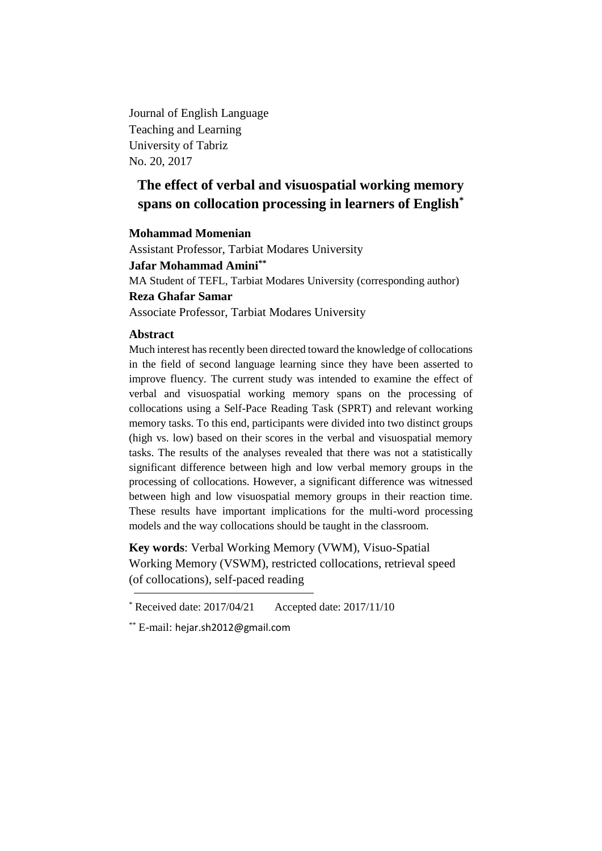Journal of English Language Teaching and Learning University of Tabriz No. 20, 2017

# **The effect of verbal and visuospatial working memory spans on collocation processing in learners of English\***

## **Mohammad Momenian**

Assistant Professor, Tarbiat Modares University **Jafar Mohammad Amini\*\*** MA Student of TEFL, Tarbiat Modares University (corresponding author) **Reza Ghafar Samar** Associate Professor, Tarbiat Modares University

## **Abstract**

Much interest has recently been directed toward the knowledge of collocations in the field of second language learning since they have been asserted to improve fluency. The current study was intended to examine the effect of verbal and visuospatial working memory spans on the processing of collocations using a Self-Pace Reading Task (SPRT) and relevant working memory tasks. To this end, participants were divided into two distinct groups (high vs. low) based on their scores in the verbal and visuospatial memory tasks. The results of the analyses revealed that there was not a statistically significant difference between high and low verbal memory groups in the processing of collocations. However, a significant difference was witnessed between high and low visuospatial memory groups in their reaction time. These results have important implications for the multi-word processing models and the way collocations should be taught in the classroom.

**Key words**: Verbal Working Memory (VWM), Visuo-Spatial Working Memory (VSWM), restricted collocations, retrieval speed (of collocations), self-paced reading

 $*$  Received date: 2017/04/21 Accepted date: 2017/11/10

<sup>\*\*</sup> E-mail: hejar.sh2012@gmail.com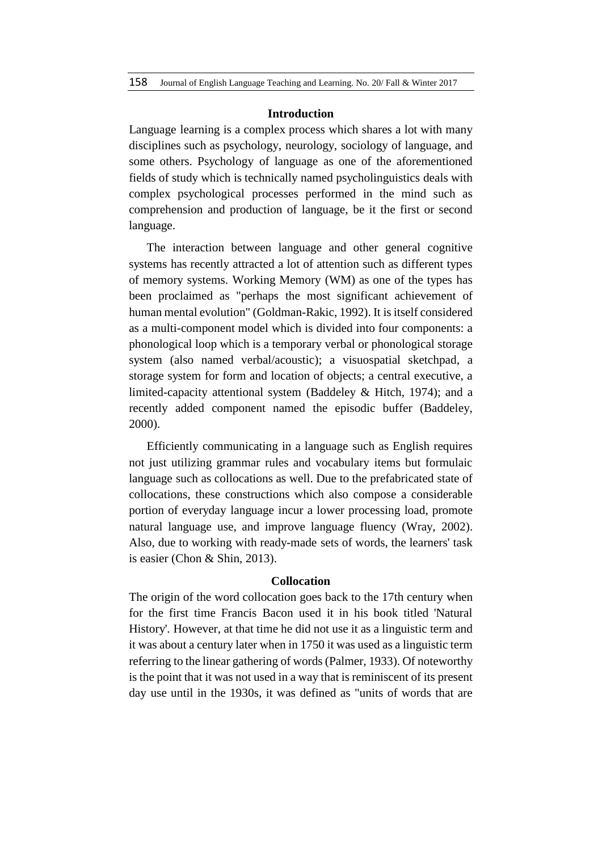#### **Introduction**

Language learning is a complex process which shares a lot with many disciplines such as psychology, neurology, sociology of language, and some others. Psychology of language as one of the aforementioned fields of study which is technically named psycholinguistics deals with complex psychological processes performed in the mind such as comprehension and production of language, be it the first or second language.

The interaction between language and other general cognitive systems has recently attracted a lot of attention such as different types of memory systems. Working Memory (WM) as one of the types has been proclaimed as "perhaps the most significant achievement of human mental evolution" (Goldman-Rakic, 1992). It is itself considered as a multi-component model which is divided into four components: a phonological loop which is a temporary verbal or phonological storage system (also named verbal/acoustic); a visuospatial sketchpad, a storage system for form and location of objects; a central executive, a limited-capacity attentional system (Baddeley & Hitch, 1974); and a recently added component named the episodic buffer (Baddeley, 2000).

Efficiently communicating in a language such as English requires not just utilizing grammar rules and vocabulary items but formulaic language such as collocations as well. Due to the prefabricated state of collocations, these constructions which also compose a considerable portion of everyday language incur a lower processing load, promote natural language use, and improve language fluency (Wray, 2002). Also, due to working with ready-made sets of words, the learners' task is easier (Chon & Shin, 2013).

#### **Collocation**

The origin of the word collocation goes back to the 17th century when for the first time Francis Bacon used it in his book titled 'Natural History'. However, at that time he did not use it as a linguistic term and it was about a century later when in 1750 it was used as a linguistic term referring to the linear gathering of words (Palmer, 1933). Of noteworthy is the point that it was not used in a way that is reminiscent of its present day use until in the 1930s, it was defined as "units of words that are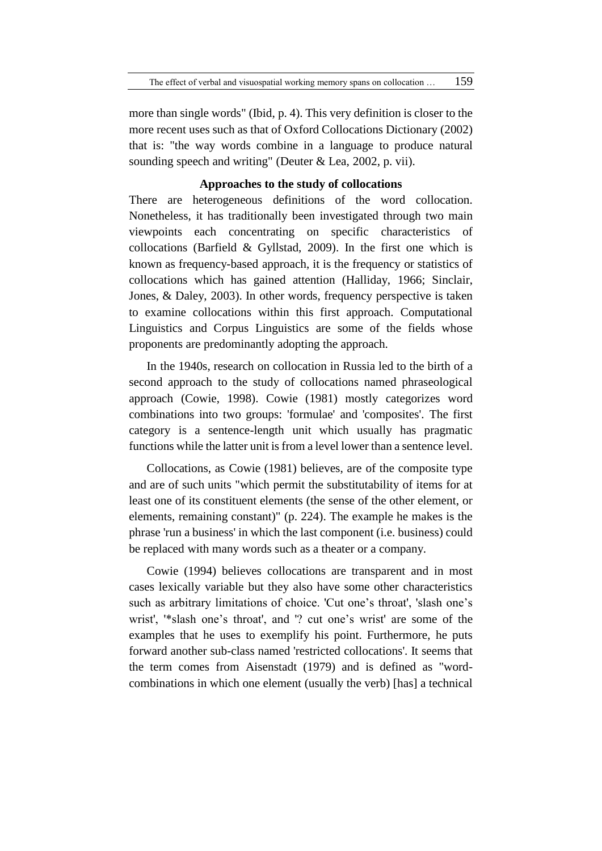more than single words" (Ibid, p. 4). This very definition is closer to the more recent uses such as that of Oxford Collocations Dictionary (2002) that is: "the way words combine in a language to produce natural sounding speech and writing" (Deuter & Lea, 2002, p. vii).

## **Approaches to the study of collocations**

There are heterogeneous definitions of the word collocation. Nonetheless, it has traditionally been investigated through two main viewpoints each concentrating on specific characteristics of collocations (Barfield & Gyllstad, 2009). In the first one which is known as frequency-based approach, it is the frequency or statistics of collocations which has gained attention (Halliday, 1966; Sinclair, Jones, & Daley, 2003). In other words, frequency perspective is taken to examine collocations within this first approach. Computational Linguistics and Corpus Linguistics are some of the fields whose proponents are predominantly adopting the approach.

In the 1940s, research on collocation in Russia led to the birth of a second approach to the study of collocations named phraseological approach (Cowie, 1998). Cowie (1981) mostly categorizes word combinations into two groups: 'formulae' and 'composites'. The first category is a sentence-length unit which usually has pragmatic functions while the latter unit is from a level lower than a sentence level.

Collocations, as Cowie (1981) believes, are of the composite type and are of such units "which permit the substitutability of items for at least one of its constituent elements (the sense of the other element, or elements, remaining constant)" (p. 224). The example he makes is the phrase 'run a business' in which the last component (i.e. business) could be replaced with many words such as a theater or a company.

Cowie (1994) believes collocations are transparent and in most cases lexically variable but they also have some other characteristics such as arbitrary limitations of choice. 'Cut one's throat', 'slash one's wrist', '\*slash one's throat', and '? cut one's wrist' are some of the examples that he uses to exemplify his point. Furthermore, he puts forward another sub-class named 'restricted collocations'. It seems that the term comes from Aisenstadt (1979) and is defined as "wordcombinations in which one element (usually the verb) [has] a technical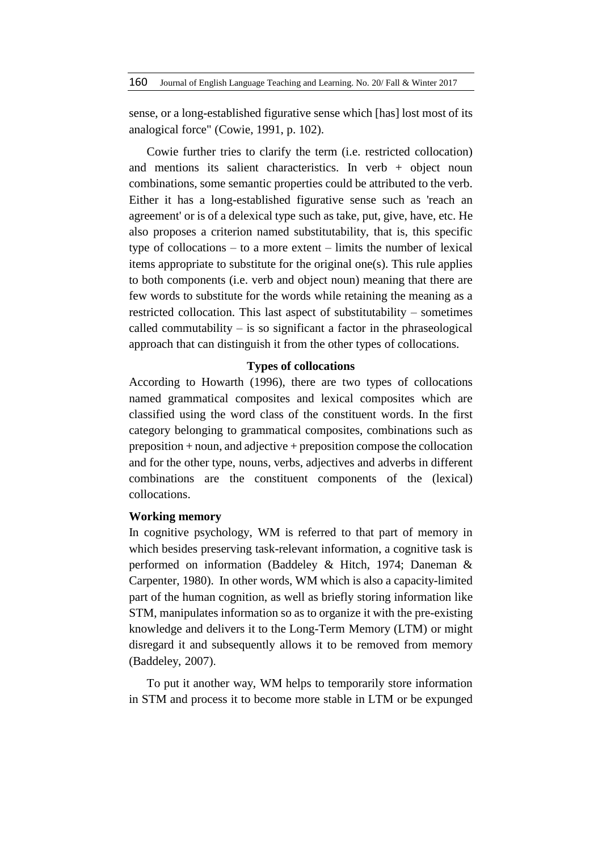sense, or a long-established figurative sense which [has] lost most of its analogical force" (Cowie, 1991, p. 102).

Cowie further tries to clarify the term (i.e. restricted collocation) and mentions its salient characteristics. In verb  $+$  object noun combinations, some semantic properties could be attributed to the verb. Either it has a long-established figurative sense such as 'reach an agreement' or is of a delexical type such as take, put, give, have, etc. He also proposes a criterion named substitutability, that is, this specific type of collocations – to a more extent – limits the number of lexical items appropriate to substitute for the original one(s). This rule applies to both components (i.e. verb and object noun) meaning that there are few words to substitute for the words while retaining the meaning as a restricted collocation. This last aspect of substitutability – sometimes called commutability  $-$  is so significant a factor in the phraseological approach that can distinguish it from the other types of collocations.

## **Types of collocations**

According to Howarth (1996), there are two types of collocations named grammatical composites and lexical composites which are classified using the word class of the constituent words. In the first category belonging to grammatical composites, combinations such as preposition + noun, and adjective + preposition compose the collocation and for the other type, nouns, verbs, adjectives and adverbs in different combinations are the constituent components of the (lexical) collocations.

# **Working memory**

In cognitive psychology, WM is referred to that part of memory in which besides preserving task-relevant information, a cognitive task is performed on information (Baddeley & Hitch, 1974; Daneman & Carpenter, 1980). In other words, WM which is also a capacity-limited part of the human cognition, as well as briefly storing information like STM, manipulates information so as to organize it with the pre-existing knowledge and delivers it to the Long-Term Memory (LTM) or might disregard it and subsequently allows it to be removed from memory (Baddeley, 2007).

To put it another way, WM helps to temporarily store information in STM and process it to become more stable in LTM or be expunged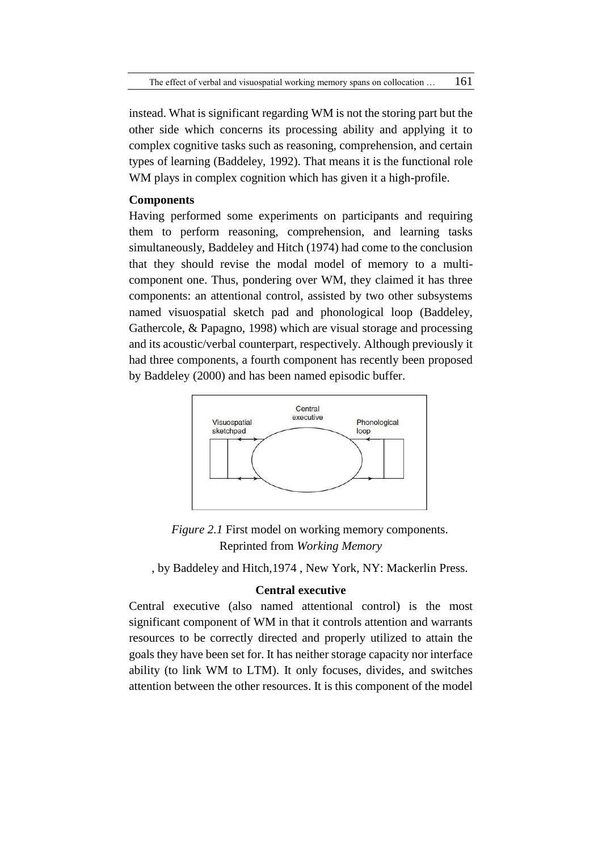instead. What is significant regarding WM is not the storing part but the other side which concerns its processing ability and applying it to complex cognitive tasks such as reasoning, comprehension, and certain types of learning (Baddeley, 1992). That means it is the functional role WM plays in complex cognition which has given it a high-profile.

# **Components**

Having performed some experiments on participants and requiring them to perform reasoning, comprehension, and learning tasks simultaneously, Baddeley and Hitch (1974) had come to the conclusion that they should revise the modal model of memory to a multicomponent one. Thus, pondering over WM, they claimed it has three components: an attentional control, assisted by two other subsystems named visuospatial sketch pad and phonological loop (Baddeley, Gathercole, & Papagno, 1998) which are visual storage and processing and its acoustic/verbal counterpart, respectively. Although previously it had three components, a fourth component has recently been proposed by Baddeley (2000) and has been named episodic buffer.



*Figure 2.1* First model on working memory components. Reprinted from *Working Memory*

, by Baddeley and Hitch,1974 , New York, NY: Mackerlin Press.

# **Central executive**

Central executive (also named attentional control) is the most significant component of WM in that it controls attention and warrants resources to be correctly directed and properly utilized to attain the goals they have been set for. It has neither storage capacity nor interface ability (to link WM to LTM). It only focuses, divides, and switches attention between the other resources. It is this component of the model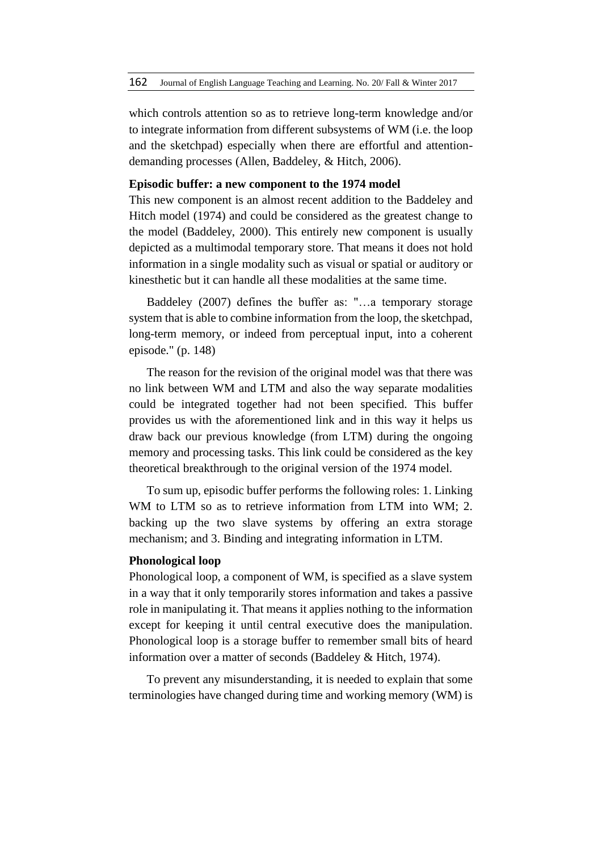which controls attention so as to retrieve long-term knowledge and/or to integrate information from different subsystems of WM (i.e. the loop and the sketchpad) especially when there are effortful and attentiondemanding processes (Allen, Baddeley, & Hitch, 2006).

# **Episodic buffer: a new component to the 1974 model**

This new component is an almost recent addition to the Baddeley and Hitch model (1974) and could be considered as the greatest change to the model (Baddeley, 2000). This entirely new component is usually depicted as a multimodal temporary store. That means it does not hold information in a single modality such as visual or spatial or auditory or kinesthetic but it can handle all these modalities at the same time.

Baddeley (2007) defines the buffer as: "…a temporary storage system that is able to combine information from the loop, the sketchpad, long-term memory, or indeed from perceptual input, into a coherent episode." (p. 148)

The reason for the revision of the original model was that there was no link between WM and LTM and also the way separate modalities could be integrated together had not been specified. This buffer provides us with the aforementioned link and in this way it helps us draw back our previous knowledge (from LTM) during the ongoing memory and processing tasks. This link could be considered as the key theoretical breakthrough to the original version of the 1974 model.

To sum up, episodic buffer performs the following roles: 1. Linking WM to LTM so as to retrieve information from LTM into WM; 2. backing up the two slave systems by offering an extra storage mechanism; and 3. Binding and integrating information in LTM.

#### **Phonological loop**

Phonological loop, a component of WM, is specified as a slave system in a way that it only temporarily stores information and takes a passive role in manipulating it. That means it applies nothing to the information except for keeping it until central executive does the manipulation. Phonological loop is a storage buffer to remember small bits of heard information over a matter of seconds (Baddeley & Hitch, 1974).

To prevent any misunderstanding, it is needed to explain that some terminologies have changed during time and working memory (WM) is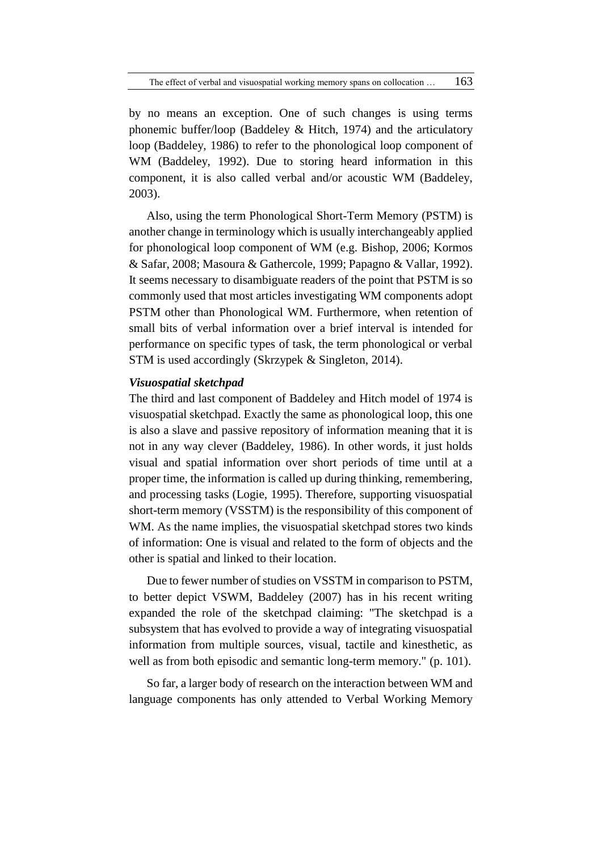by no means an exception. One of such changes is using terms phonemic buffer/loop (Baddeley & Hitch, 1974) and the articulatory loop (Baddeley, 1986) to refer to the phonological loop component of WM (Baddeley, 1992). Due to storing heard information in this component, it is also called verbal and/or acoustic WM (Baddeley, 2003).

Also, using the term Phonological Short-Term Memory (PSTM) is another change in terminology which is usually interchangeably applied for phonological loop component of WM (e.g. Bishop, 2006; Kormos & Safar, 2008; Masoura & Gathercole, 1999; Papagno & Vallar, 1992). It seems necessary to disambiguate readers of the point that PSTM is so commonly used that most articles investigating WM components adopt PSTM other than Phonological WM. Furthermore, when retention of small bits of verbal information over a brief interval is intended for performance on specific types of task, the term phonological or verbal STM is used accordingly (Skrzypek & Singleton, 2014).

# *Visuospatial sketchpad*

The third and last component of Baddeley and Hitch model of 1974 is visuospatial sketchpad. Exactly the same as phonological loop, this one is also a slave and passive repository of information meaning that it is not in any way clever (Baddeley, 1986). In other words, it just holds visual and spatial information over short periods of time until at a proper time, the information is called up during thinking, remembering, and processing tasks (Logie, 1995). Therefore, supporting visuospatial short-term memory (VSSTM) is the responsibility of this component of WM. As the name implies, the visuospatial sketchpad stores two kinds of information: One is visual and related to the form of objects and the other is spatial and linked to their location.

Due to fewer number of studies on VSSTM in comparison to PSTM, to better depict VSWM, Baddeley (2007) has in his recent writing expanded the role of the sketchpad claiming: "The sketchpad is a subsystem that has evolved to provide a way of integrating visuospatial information from multiple sources, visual, tactile and kinesthetic, as well as from both episodic and semantic long-term memory." (p. 101).

So far, a larger body of research on the interaction between WM and language components has only attended to Verbal Working Memory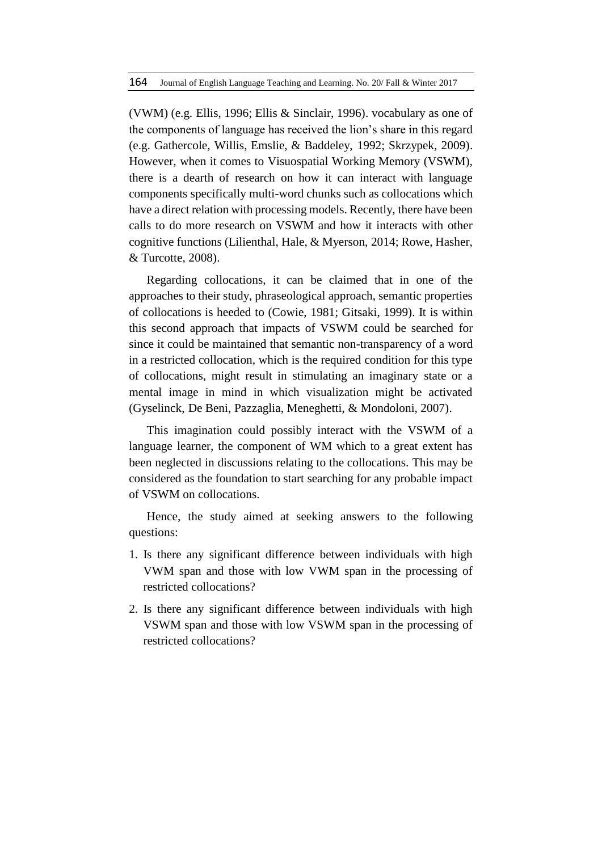(VWM) (e.g. Ellis, 1996; Ellis & Sinclair, 1996). vocabulary as one of the components of language has received the lion's share in this regard (e.g. Gathercole, Willis, Emslie, & Baddeley, 1992; Skrzypek, 2009). However, when it comes to Visuospatial Working Memory (VSWM), there is a dearth of research on how it can interact with language components specifically multi-word chunks such as collocations which have a direct relation with processing models. Recently, there have been calls to do more research on VSWM and how it interacts with other cognitive functions (Lilienthal, Hale, & Myerson, 2014; Rowe, Hasher, & Turcotte, 2008).

Regarding collocations, it can be claimed that in one of the approaches to their study, phraseological approach, semantic properties of collocations is heeded to (Cowie, 1981; Gitsaki, 1999). It is within this second approach that impacts of VSWM could be searched for since it could be maintained that semantic non-transparency of a word in a restricted collocation, which is the required condition for this type of collocations, might result in stimulating an imaginary state or a mental image in mind in which visualization might be activated (Gyselinck, De Beni, Pazzaglia, Meneghetti, & Mondoloni, 2007).

This imagination could possibly interact with the VSWM of a language learner, the component of WM which to a great extent has been neglected in discussions relating to the collocations. This may be considered as the foundation to start searching for any probable impact of VSWM on collocations.

Hence, the study aimed at seeking answers to the following questions:

- 1. Is there any significant difference between individuals with high VWM span and those with low VWM span in the processing of restricted collocations?
- 2. Is there any significant difference between individuals with high VSWM span and those with low VSWM span in the processing of restricted collocations?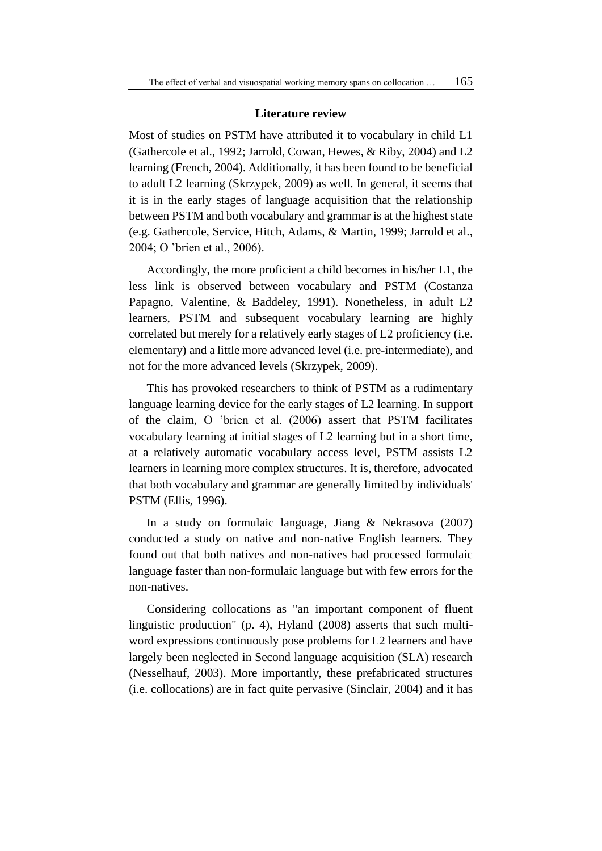#### **Literature review**

Most of studies on PSTM have attributed it to vocabulary in child L1 (Gathercole et al., 1992; Jarrold, Cowan, Hewes, & Riby, 2004) and L2 learning (French, 2004). Additionally, it has been found to be beneficial to adult L2 learning (Skrzypek, 2009) as well. In general, it seems that it is in the early stages of language acquisition that the relationship between PSTM and both vocabulary and grammar is at the highest state (e.g. Gathercole, Service, Hitch, Adams, & Martin, 1999; Jarrold et al., 2004; O 'brien et al., 2006).

Accordingly, the more proficient a child becomes in his/her L1, the less link is observed between vocabulary and PSTM (Costanza Papagno, Valentine, & Baddeley, 1991). Nonetheless, in adult L2 learners, PSTM and subsequent vocabulary learning are highly correlated but merely for a relatively early stages of L2 proficiency (i.e. elementary) and a little more advanced level (i.e. pre-intermediate), and not for the more advanced levels (Skrzypek, 2009).

This has provoked researchers to think of PSTM as a rudimentary language learning device for the early stages of L2 learning. In support of the claim, O 'brien et al. (2006) assert that PSTM facilitates vocabulary learning at initial stages of L2 learning but in a short time, at a relatively automatic vocabulary access level, PSTM assists L2 learners in learning more complex structures. It is, therefore, advocated that both vocabulary and grammar are generally limited by individuals' PSTM (Ellis, 1996).

In a study on formulaic language, Jiang & Nekrasova (2007) conducted a study on native and non-native English learners. They found out that both natives and non-natives had processed formulaic language faster than non-formulaic language but with few errors for the non-natives.

Considering collocations as "an important component of fluent linguistic production" (p. 4), Hyland (2008) asserts that such multiword expressions continuously pose problems for L2 learners and have largely been neglected in Second language acquisition (SLA) research (Nesselhauf, 2003). More importantly, these prefabricated structures (i.e. collocations) are in fact quite pervasive (Sinclair, 2004) and it has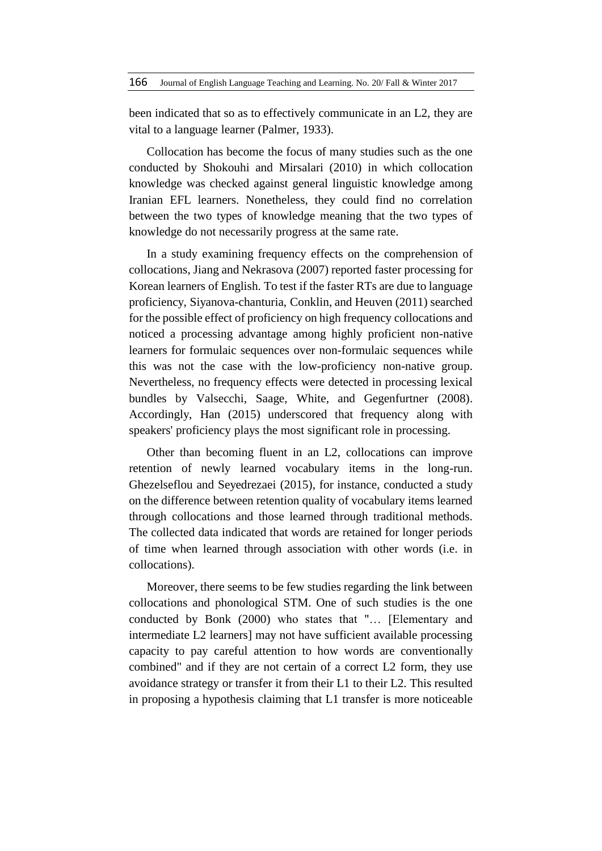been indicated that so as to effectively communicate in an L2, they are vital to a language learner (Palmer, 1933).

Collocation has become the focus of many studies such as the one conducted by Shokouhi and Mirsalari (2010) in which collocation knowledge was checked against general linguistic knowledge among Iranian EFL learners. Nonetheless, they could find no correlation between the two types of knowledge meaning that the two types of knowledge do not necessarily progress at the same rate.

In a study examining frequency effects on the comprehension of collocations, Jiang and Nekrasova (2007) reported faster processing for Korean learners of English. To test if the faster RTs are due to language proficiency, Siyanova-chanturia, Conklin, and Heuven (2011) searched for the possible effect of proficiency on high frequency collocations and noticed a processing advantage among highly proficient non-native learners for formulaic sequences over non-formulaic sequences while this was not the case with the low-proficiency non-native group. Nevertheless, no frequency effects were detected in processing lexical bundles by Valsecchi, Saage, White, and Gegenfurtner (2008). Accordingly, Han (2015) underscored that frequency along with speakers' proficiency plays the most significant role in processing.

Other than becoming fluent in an L2, collocations can improve retention of newly learned vocabulary items in the long-run. Ghezelseflou and Seyedrezaei (2015), for instance, conducted a study on the difference between retention quality of vocabulary items learned through collocations and those learned through traditional methods. The collected data indicated that words are retained for longer periods of time when learned through association with other words (i.e. in collocations).

Moreover, there seems to be few studies regarding the link between collocations and phonological STM. One of such studies is the one conducted by Bonk (2000) who states that "… [Elementary and intermediate L2 learners] may not have sufficient available processing capacity to pay careful attention to how words are conventionally combined" and if they are not certain of a correct L2 form, they use avoidance strategy or transfer it from their L1 to their L2. This resulted in proposing a hypothesis claiming that L1 transfer is more noticeable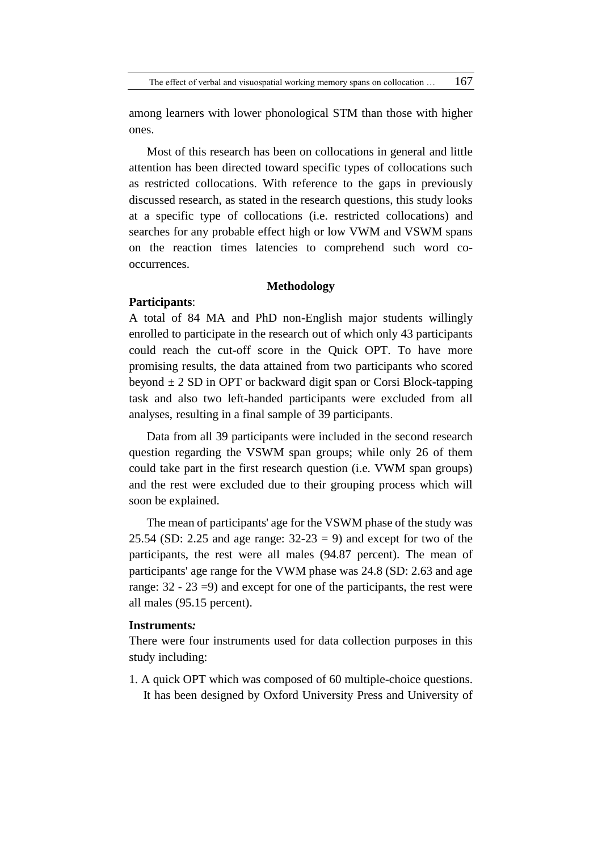The effect of verbal and visuospatial working memory spans on collocation  $\dots$  167

among learners with lower phonological STM than those with higher ones.

Most of this research has been on collocations in general and little attention has been directed toward specific types of collocations such as restricted collocations. With reference to the gaps in previously discussed research, as stated in the research questions, this study looks at a specific type of collocations (i.e. restricted collocations) and searches for any probable effect high or low VWM and VSWM spans on the reaction times latencies to comprehend such word cooccurrences.

## **Methodology**

#### **Participants**:

A total of 84 MA and PhD non-English major students willingly enrolled to participate in the research out of which only 43 participants could reach the cut-off score in the Quick OPT. To have more promising results, the data attained from two participants who scored beyond  $\pm 2$  SD in OPT or backward digit span or Corsi Block-tapping task and also two left-handed participants were excluded from all analyses, resulting in a final sample of 39 participants.

Data from all 39 participants were included in the second research question regarding the VSWM span groups; while only 26 of them could take part in the first research question (i.e. VWM span groups) and the rest were excluded due to their grouping process which will soon be explained.

The mean of participants' age for the VSWM phase of the study was 25.54 (SD: 2.25 and age range:  $32-23 = 9$ ) and except for two of the participants, the rest were all males (94.87 percent). The mean of participants' age range for the VWM phase was 24.8 (SD: 2.63 and age range: 32 - 23 =9) and except for one of the participants, the rest were all males (95.15 percent).

# **Instruments***:*

There were four instruments used for data collection purposes in this study including:

1. A quick OPT which was composed of 60 multiple-choice questions. It has been designed by Oxford University Press and University of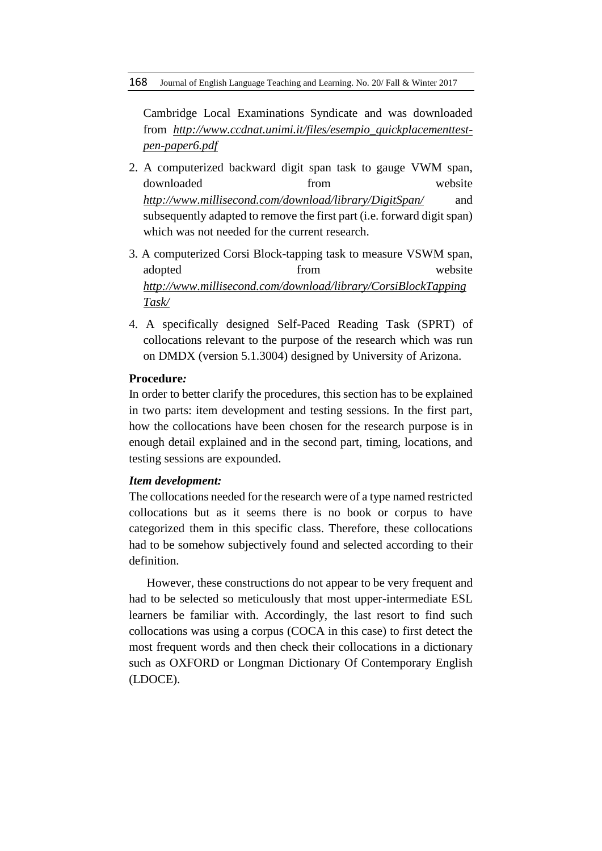Cambridge Local Examinations Syndicate and was downloaded from *[http://www.ccdnat.unimi.it/files/esempio\\_quickplacementtest](http://www.ccdnat.unimi.it/files/esempio_quickplacementtest-pen-paper6.pdf)[pen-paper6.pdf](http://www.ccdnat.unimi.it/files/esempio_quickplacementtest-pen-paper6.pdf)*

- 2. A computerized backward digit span task to gauge VWM span, downloaded from website *<http://www.millisecond.com/download/library/DigitSpan/>* and subsequently adapted to remove the first part (i.e. forward digit span) which was not needed for the current research.
- 3. A computerized Corsi Block-tapping task to measure VSWM span, adopted from website *[http://www.millisecond.com/download/library/CorsiBlockTapping](http://www.millisecond.com/download/library/CorsiBlockTappingTask/) [Task/](http://www.millisecond.com/download/library/CorsiBlockTappingTask/)*
- 4. A specifically designed Self-Paced Reading Task (SPRT) of collocations relevant to the purpose of the research which was run on DMDX (version 5.1.3004) designed by University of Arizona.

## **Procedure***:*

In order to better clarify the procedures, this section has to be explained in two parts: item development and testing sessions. In the first part, how the collocations have been chosen for the research purpose is in enough detail explained and in the second part, timing, locations, and testing sessions are expounded.

#### *Item development:*

The collocations needed for the research were of a type named restricted collocations but as it seems there is no book or corpus to have categorized them in this specific class. Therefore, these collocations had to be somehow subjectively found and selected according to their definition.

However, these constructions do not appear to be very frequent and had to be selected so meticulously that most upper-intermediate ESL learners be familiar with. Accordingly, the last resort to find such collocations was using a corpus (COCA in this case) to first detect the most frequent words and then check their collocations in a dictionary such as OXFORD or Longman Dictionary Of Contemporary English (LDOCE).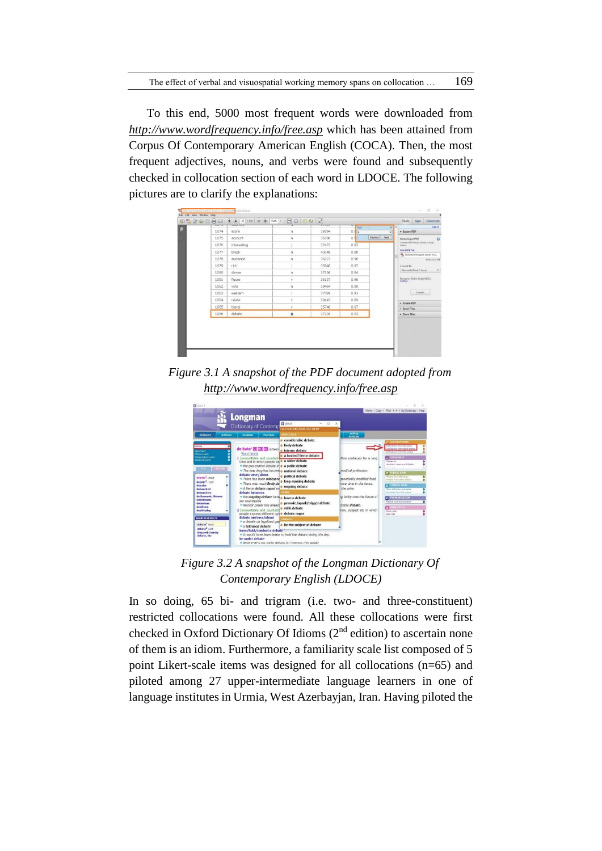To this end, 5000 most frequent words were downloaded from *<http://www.wordfrequency.info/free.asp>* which has been attained from Corpus Of Contemporary American English (COCA). Then, the most frequent adjectives, nouns, and verbs were found and subsequently checked in collocation section of each word in LDOCE. The following pictures are to clarify the explanations:



*Figure 3.1 A snapshot of the PDF document adopted from <http://www.wordfrequency.info/free.asp>*

| <b>B</b> Locars                                                                                                         |                                                                                                                                                                                               |                                                                                                                                                                          |                                                                                           |                                                                                                                                                             |
|-------------------------------------------------------------------------------------------------------------------------|-----------------------------------------------------------------------------------------------------------------------------------------------------------------------------------------------|--------------------------------------------------------------------------------------------------------------------------------------------------------------------------|-------------------------------------------------------------------------------------------|-------------------------------------------------------------------------------------------------------------------------------------------------------------|
|                                                                                                                         | Longman<br>Dictionary of Contemp                                                                                                                                                              | <b>El</b> LDOCES<br>$\Box$<br>OLLOCATIONS FROM THIS ENTRY                                                                                                                | $\times$                                                                                  | Home 1 Copy 1 Print 1 4 1 My Dictionary 1 Help                                                                                                              |
| Activator<br><b>Dictionary</b><br>debate                                                                                | Exercises<br><b>Grammar</b><br>de-bate <sup>1</sup> S2 W2 AC /drben/                                                                                                                          | <b>ADJECTIVES</b><br><b>e</b> considerable debate<br><b>o</b> lively debate<br>o intense debate                                                                          | Writies<br>Assistant                                                                      | <b>SCOLLOCATIONS</b><br>ullocations from this entry<br>ö<br>ations from other entries                                                                       |
| lee& check<br><b>Traia search</b><br><b>Promunctation nearch</b><br>demond search<br><b>CONTINEE</b><br>A <sub>2</sub>  | Word family<br>1 [uncountable and countab<br>time and in which people ex <b>c</b> a wider debate<br>+ the gun-control debate in o a public debate                                             | · a heated/fierce debate                                                                                                                                                 | iften continues for a long                                                                | Colocetors from the corpor<br><b>Q THESAURUS</b><br>Thesenes<br>۰<br>Longman Language Artivator                                                             |
| debate <sup>1</sup> , asun<br>debate <sup>2</sup> , verb<br>debater<br>debauched                                        | +> The new drug has become o national debate<br>debate over/about<br>. There has been widespre<br>** There was much lively de<br>+ A fierce debate raged ov                                   | · political debate<br><b>c</b> long-running debate<br><b>o</b> ongoing debate                                                                                            | medical profession.<br>genetically modified food.<br>nore time in the home.<br>the prize. | 2 PHILASE BANK<br>Shrapaz From this axtry<br>Phrasas from other antries<br>۰<br><b>C EXAMPLE BANK</b><br>Other distinsary availables                        |
| debauchery<br>de Beauvoir, Simone<br><b>Debenhams</b><br>debenture<br>debilitate<br>debilitating                        | debate between<br>" the ongoing debate between have a debate<br>our countryside<br>** Nuclear power has always<br>2 funcountable and countabl<br>people express different opli o debate rages | · provoke/spark/trigger debate<br><b>o</b> stifle debate                                                                                                                 | ta lobby over the future of<br>arable debate<br>lem, subject etc in which                 | <b>Exemples from the company</b><br><b>AN FRONUNCIATION</b><br>Practice your pronunciation<br>ъ<br><b>B</b> MISER NOTES<br>Add a note<br><b>Video nella</b> |
| <b>SEARCH RESULTS</b><br>debate <sup>1</sup> noin<br>dabate <sup>2</sup> verb<br><b>King and Country</b><br>debate, the | debate on/over/about<br>+ a debate on legalized gart<br>· a televised debate<br>have/hold/conduct a debate<br>be under debate.                                                                | <b>PHRASES</b><br>o be the subject of debate<br>** It would have been better to hold the debate during the day.<br>. What topics are under debate in Congress this week? |                                                                                           |                                                                                                                                                             |

*Figure 3.2 A snapshot of the Longman Dictionary Of Contemporary English (LDOCE)*

In so doing, 65 bi- and trigram (i.e. two- and three-constituent) restricted collocations were found. All these collocations were first checked in Oxford Dictionary Of Idioms (2<sup>nd</sup> edition) to ascertain none of them is an idiom. Furthermore, a familiarity scale list composed of 5 point Likert-scale items was designed for all collocations (n=65) and piloted among 27 upper-intermediate language learners in one of language institutes in Urmia, West Azerbayjan, Iran. Having piloted the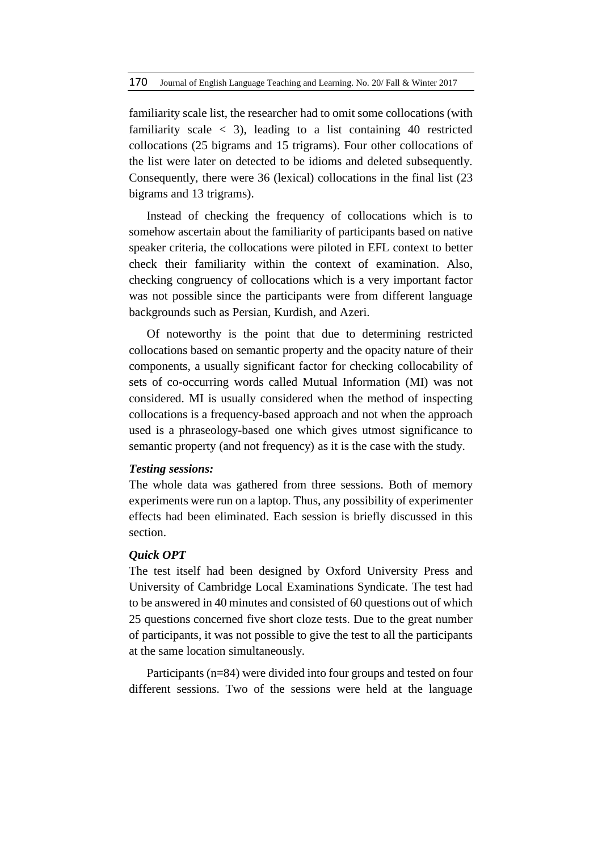familiarity scale list, the researcher had to omit some collocations (with familiarity scale  $\langle 3 \rangle$ , leading to a list containing 40 restricted collocations (25 bigrams and 15 trigrams). Four other collocations of the list were later on detected to be idioms and deleted subsequently. Consequently, there were 36 (lexical) collocations in the final list (23 bigrams and 13 trigrams).

Instead of checking the frequency of collocations which is to somehow ascertain about the familiarity of participants based on native speaker criteria, the collocations were piloted in EFL context to better check their familiarity within the context of examination. Also, checking congruency of collocations which is a very important factor was not possible since the participants were from different language backgrounds such as Persian, Kurdish, and Azeri.

Of noteworthy is the point that due to determining restricted collocations based on semantic property and the opacity nature of their components, a usually significant factor for checking collocability of sets of co-occurring words called Mutual Information (MI) was not considered. MI is usually considered when the method of inspecting collocations is a frequency-based approach and not when the approach used is a phraseology-based one which gives utmost significance to semantic property (and not frequency) as it is the case with the study.

#### *Testing sessions:*

The whole data was gathered from three sessions. Both of memory experiments were run on a laptop. Thus, any possibility of experimenter effects had been eliminated. Each session is briefly discussed in this section.

#### *Quick OPT*

The test itself had been designed by Oxford University Press and University of Cambridge Local Examinations Syndicate. The test had to be answered in 40 minutes and consisted of 60 questions out of which 25 questions concerned five short cloze tests. Due to the great number of participants, it was not possible to give the test to all the participants at the same location simultaneously.

Participants (n=84) were divided into four groups and tested on four different sessions. Two of the sessions were held at the language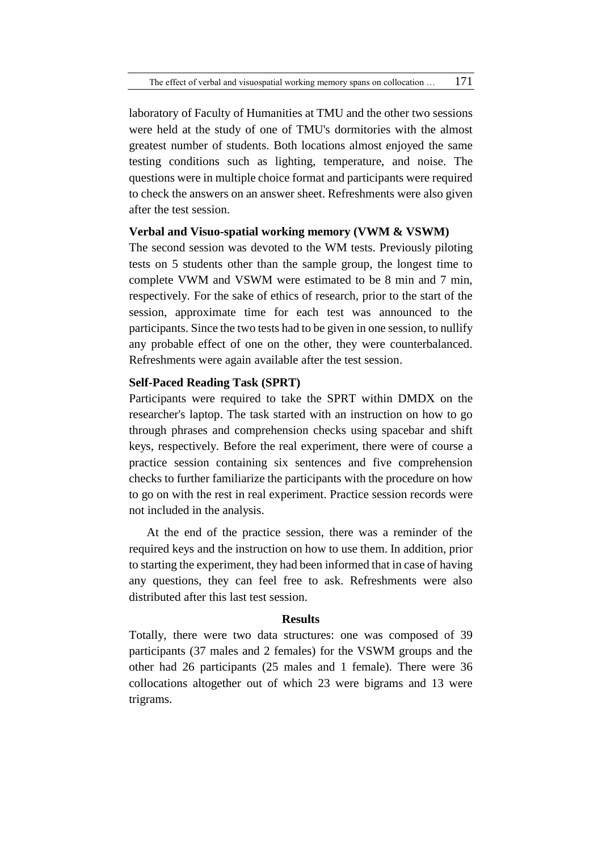laboratory of Faculty of Humanities at TMU and the other two sessions were held at the study of one of TMU's dormitories with the almost greatest number of students. Both locations almost enjoyed the same testing conditions such as lighting, temperature, and noise. The questions were in multiple choice format and participants were required to check the answers on an answer sheet. Refreshments were also given after the test session.

## **Verbal and Visuo-spatial working memory (VWM & VSWM)**

The second session was devoted to the WM tests. Previously piloting tests on 5 students other than the sample group, the longest time to complete VWM and VSWM were estimated to be 8 min and 7 min, respectively. For the sake of ethics of research, prior to the start of the session, approximate time for each test was announced to the participants. Since the two tests had to be given in one session, to nullify any probable effect of one on the other, they were counterbalanced. Refreshments were again available after the test session.

## **Self-Paced Reading Task (SPRT)**

Participants were required to take the SPRT within DMDX on the researcher's laptop. The task started with an instruction on how to go through phrases and comprehension checks using spacebar and shift keys, respectively. Before the real experiment, there were of course a practice session containing six sentences and five comprehension checks to further familiarize the participants with the procedure on how to go on with the rest in real experiment. Practice session records were not included in the analysis.

At the end of the practice session, there was a reminder of the required keys and the instruction on how to use them. In addition, prior to starting the experiment, they had been informed that in case of having any questions, they can feel free to ask. Refreshments were also distributed after this last test session.

#### **Results**

Totally, there were two data structures: one was composed of 39 participants (37 males and 2 females) for the VSWM groups and the other had 26 participants (25 males and 1 female). There were 36 collocations altogether out of which 23 were bigrams and 13 were trigrams.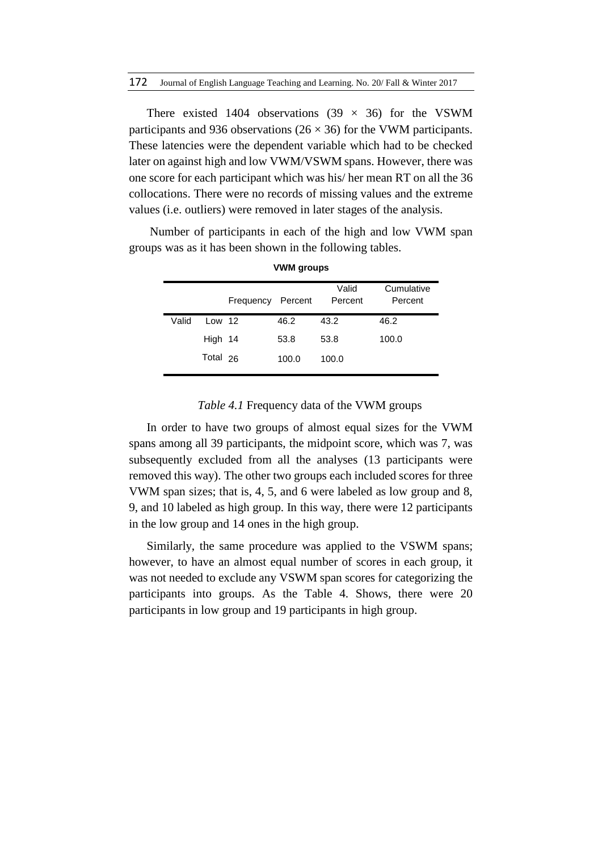There existed 1404 observations (39  $\times$  36) for the VSWM participants and 936 observations ( $26 \times 36$ ) for the VWM participants. These latencies were the dependent variable which had to be checked later on against high and low VWM/VSWM spans. However, there was one score for each participant which was his/ her mean RT on all the 36 collocations. There were no records of missing values and the extreme values (i.e. outliers) were removed in later stages of the analysis.

Number of participants in each of the high and low VWM span groups was as it has been shown in the following tables.

|       |          | Frequency | Percent | Valid<br>Percent | Cumulative<br>Percent |  |
|-------|----------|-----------|---------|------------------|-----------------------|--|
| Valid | Low $12$ |           | 46.2    | 43.2             | 46.2                  |  |
|       | High 14  |           | 53.8    | 53.8             | 100.0                 |  |
|       | Total 26 |           | 100.0   | 100.0            |                       |  |
|       |          |           |         |                  |                       |  |

**VWM groups**

## *Table 4.1* Frequency data of the VWM groups

In order to have two groups of almost equal sizes for the VWM spans among all 39 participants, the midpoint score, which was 7, was subsequently excluded from all the analyses (13 participants were removed this way). The other two groups each included scores for three VWM span sizes; that is, 4, 5, and 6 were labeled as low group and 8, 9, and 10 labeled as high group. In this way, there were 12 participants in the low group and 14 ones in the high group.

Similarly, the same procedure was applied to the VSWM spans; however, to have an almost equal number of scores in each group, it was not needed to exclude any VSWM span scores for categorizing the participants into groups. As the Table 4. Shows, there were 20 participants in low group and 19 participants in high group.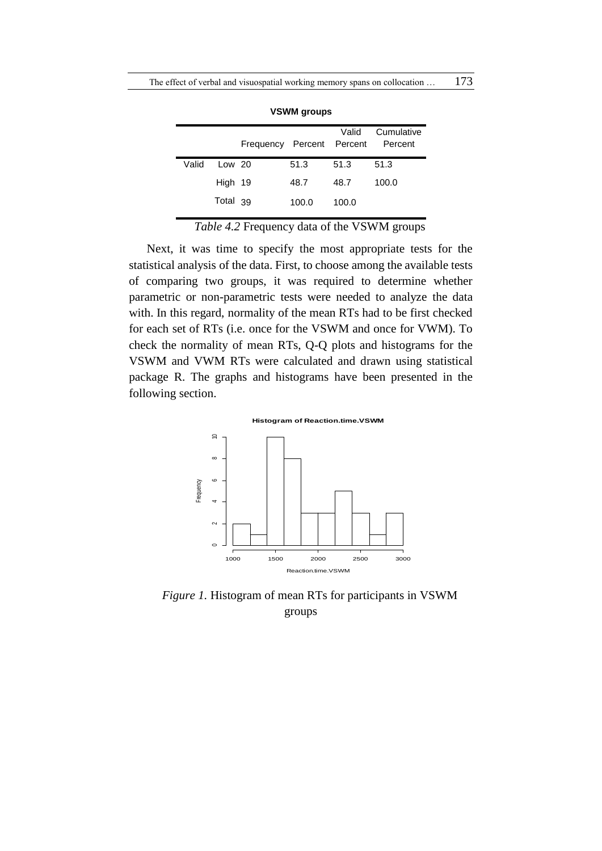|       |          | Frequency Percent Percent |       | Valid | Cumulative<br>Percent |
|-------|----------|---------------------------|-------|-------|-----------------------|
| Valid | Low 20   |                           | 51.3  | 51.3  | 51.3                  |
|       | High 19  |                           | 48.7  | 48.7  | 100.0                 |
|       | Total 39 |                           | 100.0 | 100.0 |                       |

**VSWM groups**

*Table 4.2* Frequency data of the VSWM groups

Next, it was time to specify the most appropriate tests for the statistical analysis of the data. First, to choose among the available tests of comparing two groups, it was required to determine whether parametric or non-parametric tests were needed to analyze the data with. In this regard, normality of the mean RTs had to be first checked for each set of RTs (i.e. once for the VSWM and once for VWM). To check the normality of mean RTs, Q-Q plots and histograms for the VSWM and VWM RTs were calculated and drawn using statistical package R. The graphs and histograms have been presented in the following section.





*Figure 1.* Histogram of mean RTs for participants in VSWM groups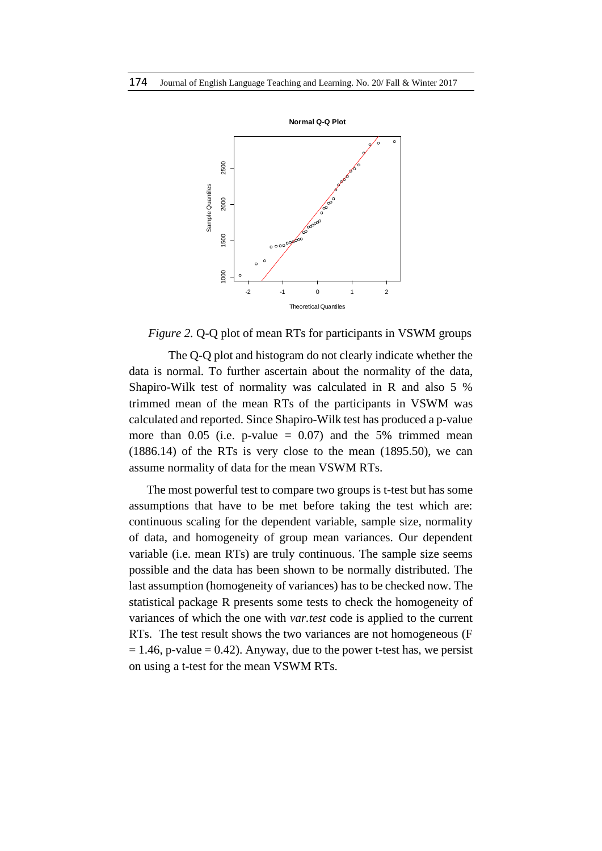

*Figure 2.* Q-Q plot of mean RTs for participants in VSWM groups

The Q-Q plot and histogram do not clearly indicate whether the data is normal. To further ascertain about the normality of the data, Shapiro-Wilk test of normality was calculated in R and also 5 % trimmed mean of the mean RTs of the participants in VSWM was calculated and reported. Since Shapiro-Wilk test has produced a p-value more than  $0.05$  (i.e. p-value = 0.07) and the 5% trimmed mean (1886.14) of the RTs is very close to the mean (1895.50), we can assume normality of data for the mean VSWM RTs.

The most powerful test to compare two groups is t-test but has some assumptions that have to be met before taking the test which are: continuous scaling for the dependent variable, sample size, normality of data, and homogeneity of group mean variances. Our dependent variable (i.e. mean RTs) are truly continuous. The sample size seems possible and the data has been shown to be normally distributed. The last assumption (homogeneity of variances) has to be checked now. The statistical package R presents some tests to check the homogeneity of variances of which the one with *var.test* code is applied to the current RTs. The test result shows the two variances are not homogeneous (F  $= 1.46$ , p-value  $= 0.42$ ). Anyway, due to the power t-test has, we persist on using a t-test for the mean VSWM RTs.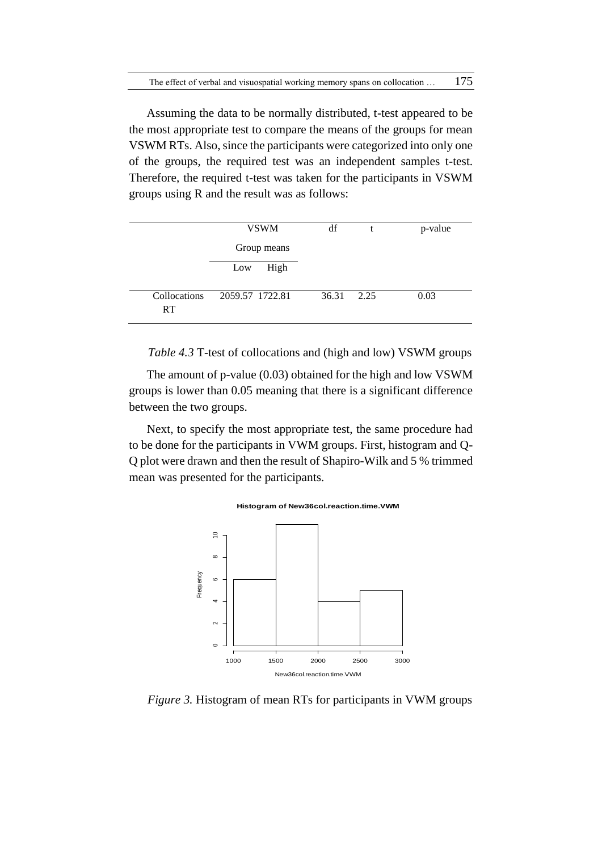Assuming the data to be normally distributed, t-test appeared to be the most appropriate test to compare the means of the groups for mean VSWM RTs. Also, since the participants were categorized into only one of the groups, the required test was an independent samples t-test. Therefore, the required t-test was taken for the participants in VSWM groups using R and the result was as follows:

|                           | <b>VSWM</b>     | df         | p-value |
|---------------------------|-----------------|------------|---------|
|                           | Group means     |            |         |
|                           | High<br>Low     |            |         |
| Collocations<br><b>RT</b> | 2059.57 1722.81 | 36.31 2.25 | 0.03    |

*Table 4.3* T-test of collocations and (high and low) VSWM groups

The amount of p-value (0.03) obtained for the high and low VSWM groups is lower than 0.05 meaning that there is a significant difference between the two groups.

Next, to specify the most appropriate test, the same procedure had to be done for the participants in VWM groups. First, histogram and Q-Q plot were drawn and then the result of Shapiro-Wilk and 5 % trimmed mean was presented for the participants.





*Figure 3.* Histogram of mean RTs for participants in VWM groups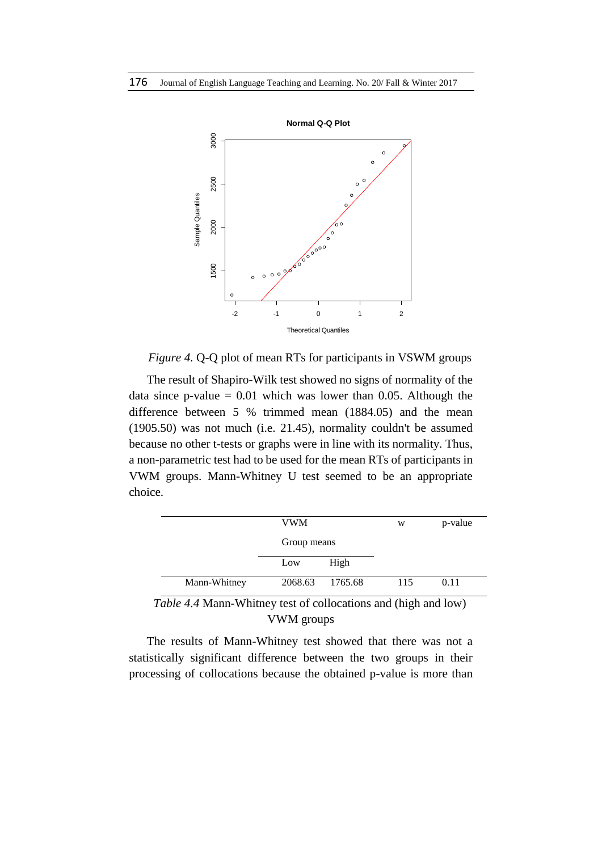

*Figure 4.* Q-Q plot of mean RTs for participants in VSWM groups

The result of Shapiro-Wilk test showed no signs of normality of the data since p-value  $= 0.01$  which was lower than 0.05. Although the difference between 5 % trimmed mean (1884.05) and the mean (1905.50) was not much (i.e. 21.45), normality couldn't be assumed because no other t-tests or graphs were in line with its normality. Thus, a non-parametric test had to be used for the mean RTs of participants in VWM groups. Mann-Whitney U test seemed to be an appropriate choice.

|              | <b>VWM</b>  |                 | W   | p-value |
|--------------|-------------|-----------------|-----|---------|
|              | Group means |                 |     |         |
|              | Low         | High            |     |         |
| Mann-Whitney |             | 2068.63 1765.68 | 115 | 0.11    |

*Table 4.4* Mann-Whitney test of collocations and (high and low) VWM groups

The results of Mann-Whitney test showed that there was not a statistically significant difference between the two groups in their processing of collocations because the obtained p-value is more than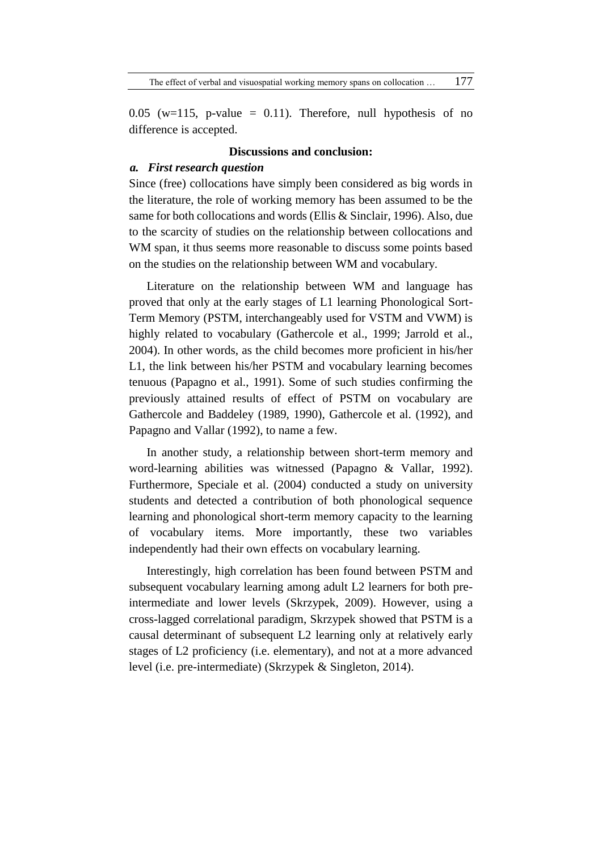0.05 (w=115, p-value = 0.11). Therefore, null hypothesis of no difference is accepted.

#### **Discussions and conclusion:**

#### *a. First research question*

Since (free) collocations have simply been considered as big words in the literature, the role of working memory has been assumed to be the same for both collocations and words (Ellis & Sinclair, 1996). Also, due to the scarcity of studies on the relationship between collocations and WM span, it thus seems more reasonable to discuss some points based on the studies on the relationship between WM and vocabulary.

Literature on the relationship between WM and language has proved that only at the early stages of L1 learning Phonological Sort-Term Memory (PSTM, interchangeably used for VSTM and VWM) is highly related to vocabulary (Gathercole et al., 1999; Jarrold et al., 2004). In other words, as the child becomes more proficient in his/her L1, the link between his/her PSTM and vocabulary learning becomes tenuous (Papagno et al., 1991). Some of such studies confirming the previously attained results of effect of PSTM on vocabulary are Gathercole and Baddeley (1989, 1990), Gathercole et al. (1992), and Papagno and Vallar (1992), to name a few.

In another study, a relationship between short-term memory and word-learning abilities was witnessed (Papagno & Vallar, 1992). Furthermore, Speciale et al. (2004) conducted a study on university students and detected a contribution of both phonological sequence learning and phonological short-term memory capacity to the learning of vocabulary items. More importantly, these two variables independently had their own effects on vocabulary learning.

Interestingly, high correlation has been found between PSTM and subsequent vocabulary learning among adult L2 learners for both preintermediate and lower levels (Skrzypek, 2009). However, using a cross-lagged correlational paradigm, Skrzypek showed that PSTM is a causal determinant of subsequent L2 learning only at relatively early stages of L2 proficiency (i.e. elementary), and not at a more advanced level (i.e. pre-intermediate) (Skrzypek & Singleton, 2014).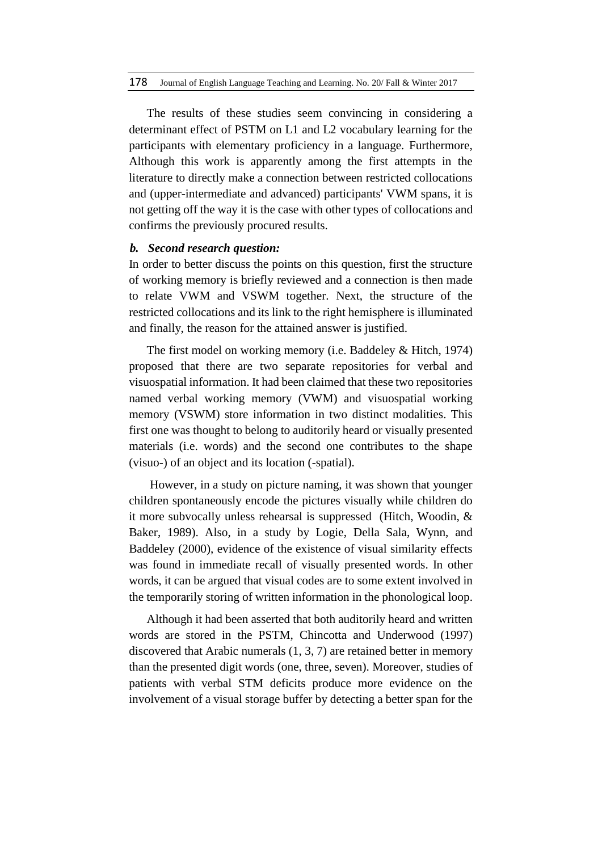The results of these studies seem convincing in considering a determinant effect of PSTM on L1 and L2 vocabulary learning for the participants with elementary proficiency in a language. Furthermore, Although this work is apparently among the first attempts in the literature to directly make a connection between restricted collocations and (upper-intermediate and advanced) participants' VWM spans, it is not getting off the way it is the case with other types of collocations and confirms the previously procured results.

## *b. Second research question:*

In order to better discuss the points on this question, first the structure of working memory is briefly reviewed and a connection is then made to relate VWM and VSWM together. Next, the structure of the restricted collocations and its link to the right hemisphere is illuminated and finally, the reason for the attained answer is justified.

The first model on working memory (i.e. Baddeley & Hitch, 1974) proposed that there are two separate repositories for verbal and visuospatial information. It had been claimed that these two repositories named verbal working memory (VWM) and visuospatial working memory (VSWM) store information in two distinct modalities. This first one was thought to belong to auditorily heard or visually presented materials (i.e. words) and the second one contributes to the shape (visuo-) of an object and its location (-spatial).

However, in a study on picture naming, it was shown that younger children spontaneously encode the pictures visually while children do it more subvocally unless rehearsal is suppressed (Hitch, Woodin, & Baker, 1989). Also, in a study by Logie, Della Sala, Wynn, and Baddeley (2000), evidence of the existence of visual similarity effects was found in immediate recall of visually presented words. In other words, it can be argued that visual codes are to some extent involved in the temporarily storing of written information in the phonological loop.

Although it had been asserted that both auditorily heard and written words are stored in the PSTM, Chincotta and Underwood (1997) discovered that Arabic numerals (1, 3, 7) are retained better in memory than the presented digit words (one, three, seven). Moreover, studies of patients with verbal STM deficits produce more evidence on the involvement of a visual storage buffer by detecting a better span for the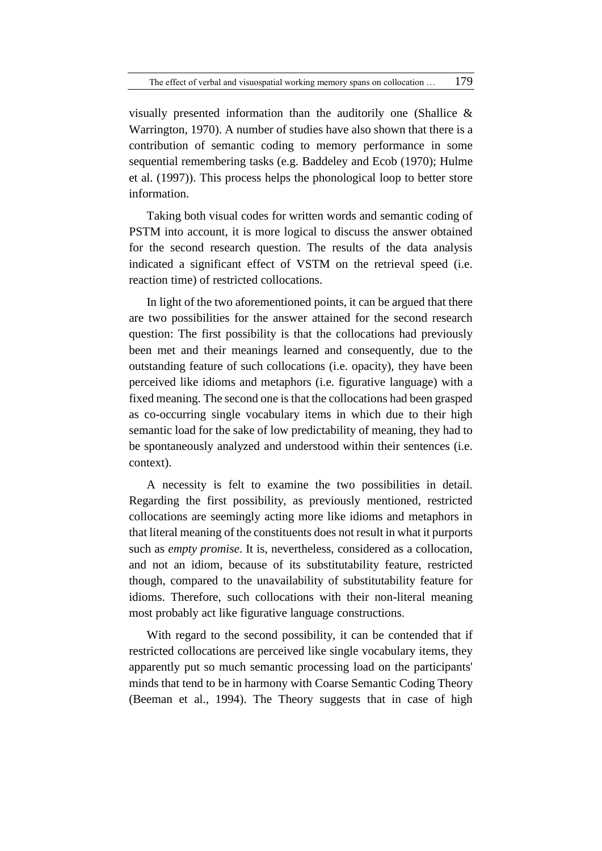visually presented information than the auditorily one (Shallice & Warrington, 1970). A number of studies have also shown that there is a contribution of semantic coding to memory performance in some sequential remembering tasks (e.g. Baddeley and Ecob (1970); Hulme et al. (1997)). This process helps the phonological loop to better store information.

Taking both visual codes for written words and semantic coding of PSTM into account, it is more logical to discuss the answer obtained for the second research question. The results of the data analysis indicated a significant effect of VSTM on the retrieval speed (i.e. reaction time) of restricted collocations.

In light of the two aforementioned points, it can be argued that there are two possibilities for the answer attained for the second research question: The first possibility is that the collocations had previously been met and their meanings learned and consequently, due to the outstanding feature of such collocations (i.e. opacity), they have been perceived like idioms and metaphors (i.e. figurative language) with a fixed meaning. The second one is that the collocations had been grasped as co-occurring single vocabulary items in which due to their high semantic load for the sake of low predictability of meaning, they had to be spontaneously analyzed and understood within their sentences (i.e. context).

A necessity is felt to examine the two possibilities in detail. Regarding the first possibility, as previously mentioned, restricted collocations are seemingly acting more like idioms and metaphors in that literal meaning of the constituents does not result in what it purports such as *empty promise*. It is, nevertheless, considered as a collocation, and not an idiom, because of its substitutability feature, restricted though, compared to the unavailability of substitutability feature for idioms. Therefore, such collocations with their non-literal meaning most probably act like figurative language constructions.

With regard to the second possibility, it can be contended that if restricted collocations are perceived like single vocabulary items, they apparently put so much semantic processing load on the participants' minds that tend to be in harmony with Coarse Semantic Coding Theory (Beeman et al., 1994). The Theory suggests that in case of high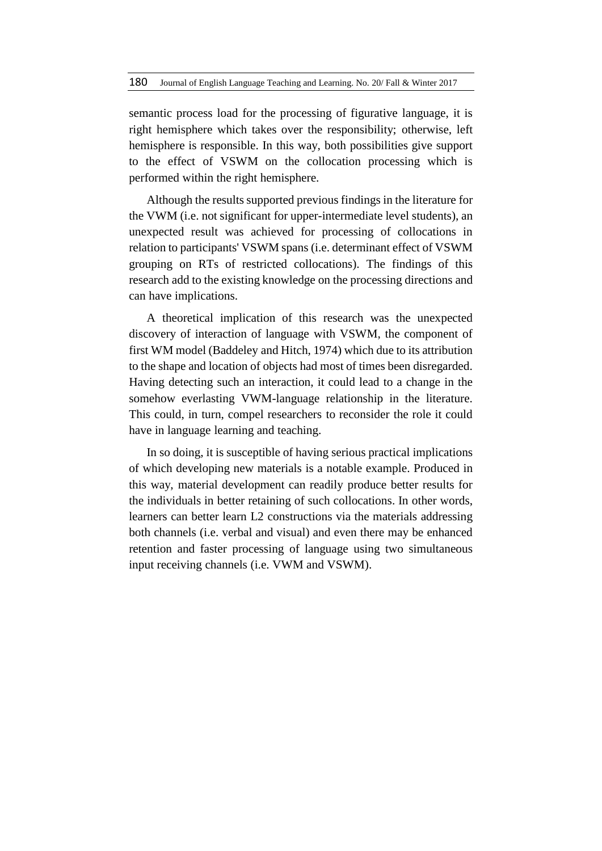semantic process load for the processing of figurative language, it is right hemisphere which takes over the responsibility; otherwise, left hemisphere is responsible. In this way, both possibilities give support to the effect of VSWM on the collocation processing which is performed within the right hemisphere.

Although the results supported previous findings in the literature for the VWM (i.e. not significant for upper-intermediate level students), an unexpected result was achieved for processing of collocations in relation to participants' VSWM spans (i.e. determinant effect of VSWM grouping on RTs of restricted collocations). The findings of this research add to the existing knowledge on the processing directions and can have implications.

A theoretical implication of this research was the unexpected discovery of interaction of language with VSWM, the component of first WM model (Baddeley and Hitch, 1974) which due to its attribution to the shape and location of objects had most of times been disregarded. Having detecting such an interaction, it could lead to a change in the somehow everlasting VWM-language relationship in the literature. This could, in turn, compel researchers to reconsider the role it could have in language learning and teaching.

In so doing, it is susceptible of having serious practical implications of which developing new materials is a notable example. Produced in this way, material development can readily produce better results for the individuals in better retaining of such collocations. In other words, learners can better learn L2 constructions via the materials addressing both channels (i.e. verbal and visual) and even there may be enhanced retention and faster processing of language using two simultaneous input receiving channels (i.e. VWM and VSWM).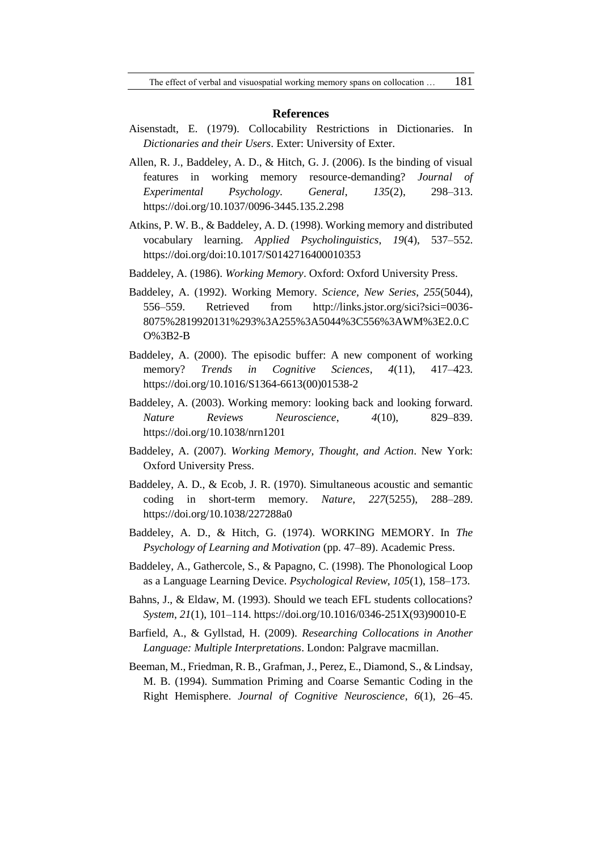#### **References**

- Aisenstadt, E. (1979). Collocability Restrictions in Dictionaries. In *Dictionaries and their Users*. Exter: University of Exter.
- Allen, R. J., Baddeley, A. D., & Hitch, G. J. (2006). Is the binding of visual features in working memory resource-demanding? *Journal of Experimental Psychology. General*, *135*(2), 298–313. https://doi.org/10.1037/0096-3445.135.2.298
- Atkins, P. W. B., & Baddeley, A. D. (1998). Working memory and distributed vocabulary learning. *Applied Psycholinguistics*, *19*(4), 537–552. https://doi.org/doi:10.1017/S0142716400010353
- Baddeley, A. (1986). *Working Memory*. Oxford: Oxford University Press.
- Baddeley, A. (1992). Working Memory. *Science, New Series*, *255*(5044), 556–559. Retrieved from http://links.jstor.org/sici?sici=0036- 8075%2819920131%293%3A255%3A5044%3C556%3AWM%3E2.0.C O%3B2-B
- Baddeley, A. (2000). The episodic buffer: A new component of working memory? *Trends in Cognitive Sciences*, *4*(11), 417–423. https://doi.org/10.1016/S1364-6613(00)01538-2
- Baddeley, A. (2003). Working memory: looking back and looking forward. *Nature Reviews Neuroscience*, *4*(10), 829–839. https://doi.org/10.1038/nrn1201
- Baddeley, A. (2007). *Working Memory, Thought, and Action*. New York: Oxford University Press.
- Baddeley, A. D., & Ecob, J. R. (1970). Simultaneous acoustic and semantic coding in short-term memory. *Nature*, *227*(5255), 288–289. https://doi.org/10.1038/227288a0
- Baddeley, A. D., & Hitch, G. (1974). WORKING MEMORY. In *The Psychology of Learning and Motivation* (pp. 47–89). Academic Press.
- Baddeley, A., Gathercole, S., & Papagno, C. (1998). The Phonological Loop as a Language Learning Device. *Psychological Review*, *105*(1), 158–173.
- Bahns, J., & Eldaw, M. (1993). Should we teach EFL students collocations? *System*, *21*(1), 101–114. https://doi.org/10.1016/0346-251X(93)90010-E
- Barfield, A., & Gyllstad, H. (2009). *Researching Collocations in Another Language: Multiple Interpretations*. London: Palgrave macmillan.
- Beeman, M., Friedman, R. B., Grafman, J., Perez, E., Diamond, S., & Lindsay, M. B. (1994). Summation Priming and Coarse Semantic Coding in the Right Hemisphere. *Journal of Cognitive Neuroscience*, *6*(1), 26–45.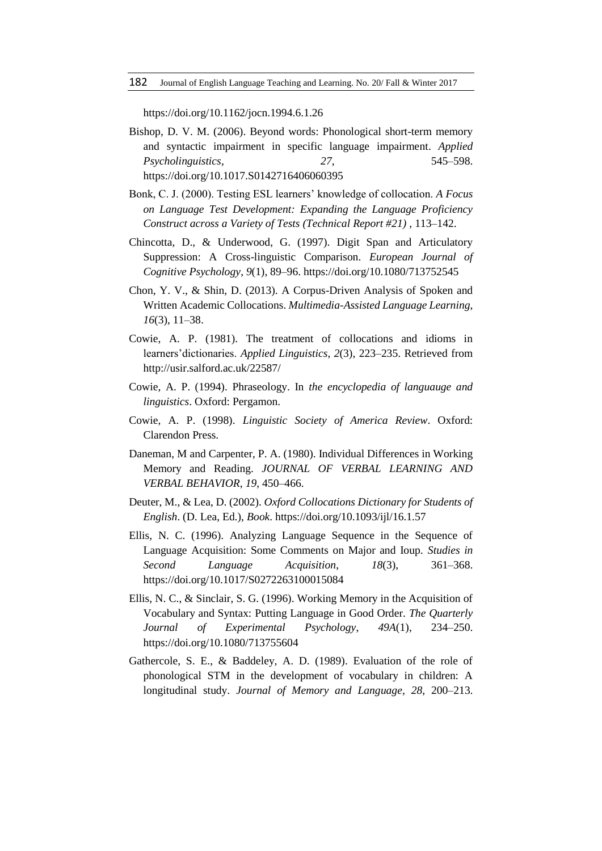https://doi.org/10.1162/jocn.1994.6.1.26

- Bishop, D. V. M. (2006). Beyond words: Phonological short-term memory and syntactic impairment in specific language impairment. *Applied Psycholinguistics*, *27*, 545–598. https://doi.org/10.1017.S0142716406060395
- Bonk, C. J. (2000). Testing ESL learners' knowledge of collocation. *A Focus on Language Test Development: Expanding the Language Proficiency Construct across a Variety of Tests (Technical Report #21)* , 113–142.
- Chincotta, D., & Underwood, G. (1997). Digit Span and Articulatory Suppression: A Cross-linguistic Comparison. *European Journal of Cognitive Psychology*, *9*(1), 89–96. https://doi.org/10.1080/713752545
- Chon, Y. V., & Shin, D. (2013). A Corpus-Driven Analysis of Spoken and Written Academic Collocations. *Multimedia-Assisted Language Learning*, *16*(3), 11–38.
- Cowie, A. P. (1981). The treatment of collocations and idioms in learners'dictionaries. *Applied Linguistics*, *2*(3), 223–235. Retrieved from http://usir.salford.ac.uk/22587/
- Cowie, A. P. (1994). Phraseology. In *the encyclopedia of languauge and linguistics*. Oxford: Pergamon.
- Cowie, A. P. (1998). *Linguistic Society of America Review*. Oxford: Clarendon Press.
- Daneman, M and Carpenter, P. A. (1980). Individual Differences in Working Memory and Reading. *JOURNAL OF VERBAL LEARNING AND VERBAL BEHAVIOR*, *19*, 450–466.
- Deuter, M., & Lea, D. (2002). *Oxford Collocations Dictionary for Students of English*. (D. Lea, Ed.), *Book*. https://doi.org/10.1093/ijl/16.1.57
- Ellis, N. C. (1996). Analyzing Language Sequence in the Sequence of Language Acquisition: Some Comments on Major and Ioup. *Studies in Second Language Acquisition*, *18*(3), 361–368. https://doi.org/10.1017/S0272263100015084
- Ellis, N. C., & Sinclair, S. G. (1996). Working Memory in the Acquisition of Vocabulary and Syntax: Putting Language in Good Order. *The Quarterly Journal of Experimental Psychology*, *49A*(1), 234–250. https://doi.org/10.1080/713755604
- Gathercole, S. E., & Baddeley, A. D. (1989). Evaluation of the role of phonological STM in the development of vocabulary in children: A longitudinal study. *Journal of Memory and Language*, *28*, 200–213.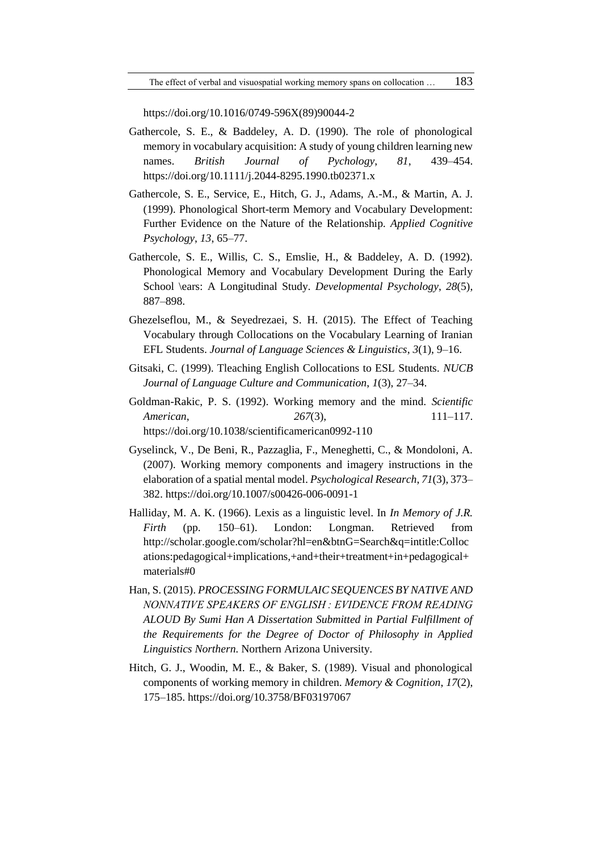https://doi.org/10.1016/0749-596X(89)90044-2

- Gathercole, S. E., & Baddeley, A. D. (1990). The role of phonological memory in vocabulary acquisition: A study of young children learning new names. *British Journal of Pychology*, *81*, 439–454. https://doi.org/10.1111/j.2044-8295.1990.tb02371.x
- Gathercole, S. E., Service, E., Hitch, G. J., Adams, A.-M., & Martin, A. J. (1999). Phonological Short-term Memory and Vocabulary Development: Further Evidence on the Nature of the Relationship. *Applied Cognitive Psychology*, *13*, 65–77.
- Gathercole, S. E., Willis, C. S., Emslie, H., & Baddeley, A. D. (1992). Phonological Memory and Vocabulary Development During the Early School \ears: A Longitudinal Study. *Developmental Psychology*, *28*(5), 887–898.
- Ghezelseflou, M., & Seyedrezaei, S. H. (2015). The Effect of Teaching Vocabulary through Collocations on the Vocabulary Learning of Iranian EFL Students. *Journal of Language Sciences & Linguistics*, *3*(1), 9–16.
- Gitsaki, C. (1999). Tleaching English Collocations to ESL Students. *NUCB Journal of Language Culture and Communication*, *1*(3), 27–34.
- Goldman-Rakic, P. S. (1992). Working memory and the mind. *Scientific American*, *267*(3), 111–117. https://doi.org/10.1038/scientificamerican0992-110
- Gyselinck, V., De Beni, R., Pazzaglia, F., Meneghetti, C., & Mondoloni, A. (2007). Working memory components and imagery instructions in the elaboration of a spatial mental model. *Psychological Research*, *71*(3), 373– 382. https://doi.org/10.1007/s00426-006-0091-1
- Halliday, M. A. K. (1966). Lexis as a linguistic level. In *In Memory of J.R. Firth* (pp. 150–61). London: Longman. Retrieved from http://scholar.google.com/scholar?hl=en&btnG=Search&q=intitle:Colloc ations:pedagogical+implications,+and+their+treatment+in+pedagogical+ materials#0
- Han, S. (2015). *PROCESSING FORMULAIC SEQUENCES BY NATIVE AND NONNATIVE SPEAKERS OF ENGLISH : EVIDENCE FROM READING ALOUD By Sumi Han A Dissertation Submitted in Partial Fulfillment of the Requirements for the Degree of Doctor of Philosophy in Applied Linguistics Northern*. Northern Arizona University.
- Hitch, G. J., Woodin, M. E., & Baker, S. (1989). Visual and phonological components of working memory in children. *Memory & Cognition*, *17*(2), 175–185. https://doi.org/10.3758/BF03197067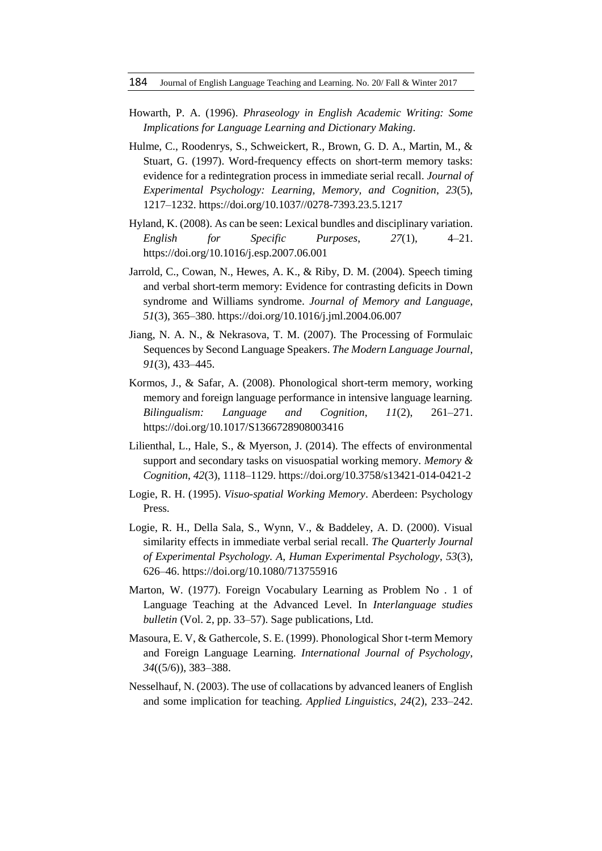- Howarth, P. A. (1996). *Phraseology in English Academic Writing: Some Implications for Language Learning and Dictionary Making*.
- Hulme, C., Roodenrys, S., Schweickert, R., Brown, G. D. A., Martin, M., & Stuart, G. (1997). Word-frequency effects on short-term memory tasks: evidence for a redintegration process in immediate serial recall. *Journal of Experimental Psychology: Learning, Memory, and Cognition*, *23*(5), 1217–1232. https://doi.org/10.1037//0278-7393.23.5.1217
- Hyland, K. (2008). As can be seen: Lexical bundles and disciplinary variation. *English for Specific Purposes*, *27*(1), 4–21. https://doi.org/10.1016/j.esp.2007.06.001
- Jarrold, C., Cowan, N., Hewes, A. K., & Riby, D. M. (2004). Speech timing and verbal short-term memory: Evidence for contrasting deficits in Down syndrome and Williams syndrome. *Journal of Memory and Language*, *51*(3), 365–380. https://doi.org/10.1016/j.jml.2004.06.007
- Jiang, N. A. N., & Nekrasova, T. M. (2007). The Processing of Formulaic Sequences by Second Language Speakers. *The Modern Language Journal*, *91*(3), 433–445.
- Kormos, J., & Safar, A. (2008). Phonological short-term memory, working memory and foreign language performance in intensive language learning. *Bilingualism: Language and Cognition*, *11*(2), 261–271. https://doi.org/10.1017/S1366728908003416
- Lilienthal, L., Hale, S., & Myerson, J. (2014). The effects of environmental support and secondary tasks on visuospatial working memory. *Memory & Cognition*, *42*(3), 1118–1129. https://doi.org/10.3758/s13421-014-0421-2
- Logie, R. H. (1995). *Visuo-spatial Working Memory*. Aberdeen: Psychology Press.
- Logie, R. H., Della Sala, S., Wynn, V., & Baddeley, A. D. (2000). Visual similarity effects in immediate verbal serial recall. *The Quarterly Journal of Experimental Psychology. A, Human Experimental Psychology*, *53*(3), 626–46. https://doi.org/10.1080/713755916
- Marton, W. (1977). Foreign Vocabulary Learning as Problem No . 1 of Language Teaching at the Advanced Level. In *Interlanguage studies bulletin* (Vol. 2, pp. 33–57). Sage publications, Ltd.
- Masoura, E. V, & Gathercole, S. E. (1999). Phonological Shor t-term Memory and Foreign Language Learning. *International Journal of Psychology*, *34*((5/6)), 383–388.
- Nesselhauf, N. (2003). The use of collacations by advanced leaners of English and some implication for teaching. *Applied Linguistics*, *24*(2), 233–242.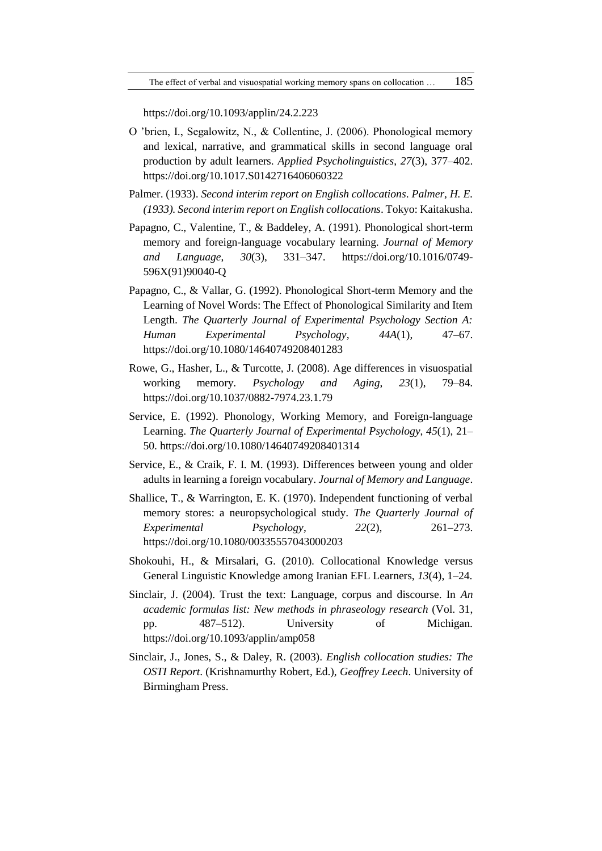https://doi.org/10.1093/applin/24.2.223

- O 'brien, I., Segalowitz, N., & Collentine, J. (2006). Phonological memory and lexical, narrative, and grammatical skills in second language oral production by adult learners. *Applied Psycholinguistics*, *27*(3), 377–402. https://doi.org/10.1017.S0142716406060322
- Palmer. (1933). *Second interim report on English collocations*. *Palmer, H. E. (1933). Second interim report on English collocations*. Tokyo: Kaitakusha.
- Papagno, C., Valentine, T., & Baddeley, A. (1991). Phonological short-term memory and foreign-language vocabulary learning. *Journal of Memory and Language*, *30*(3), 331–347. https://doi.org/10.1016/0749- 596X(91)90040-Q
- Papagno, C., & Vallar, G. (1992). Phonological Short-term Memory and the Learning of Novel Words: The Effect of Phonological Similarity and Item Length. *The Quarterly Journal of Experimental Psychology Section A: Human Experimental Psychology*, *44A*(1), 47–67. https://doi.org/10.1080/14640749208401283
- Rowe, G., Hasher, L., & Turcotte, J. (2008). Age differences in visuospatial working memory. *Psychology and Aging*, *23*(1), 79–84. https://doi.org/10.1037/0882-7974.23.1.79
- Service, E. (1992). Phonology, Working Memory, and Foreign-language Learning. *The Quarterly Journal of Experimental Psychology*, *45*(1), 21– 50. https://doi.org/10.1080/14640749208401314
- Service, E., & Craik, F. I. M. (1993). Differences between young and older adults in learning a foreign vocabulary. *Journal of Memory and Language*.
- Shallice, T., & Warrington, E. K. (1970). Independent functioning of verbal memory stores: a neuropsychological study. *The Quarterly Journal of Experimental Psychology*, *22*(2), 261–273. https://doi.org/10.1080/00335557043000203
- Shokouhi, H., & Mirsalari, G. (2010). Collocational Knowledge versus General Linguistic Knowledge among Iranian EFL Learners, *13*(4), 1–24.
- Sinclair, J. (2004). Trust the text: Language, corpus and discourse. In *An academic formulas list: New methods in phraseology research* (Vol. 31, pp. 487–512). University of Michigan. https://doi.org/10.1093/applin/amp058
- Sinclair, J., Jones, S., & Daley, R. (2003). *English collocation studies: The OSTI Report*. (Krishnamurthy Robert, Ed.), *Geoffrey Leech*. University of Birmingham Press.